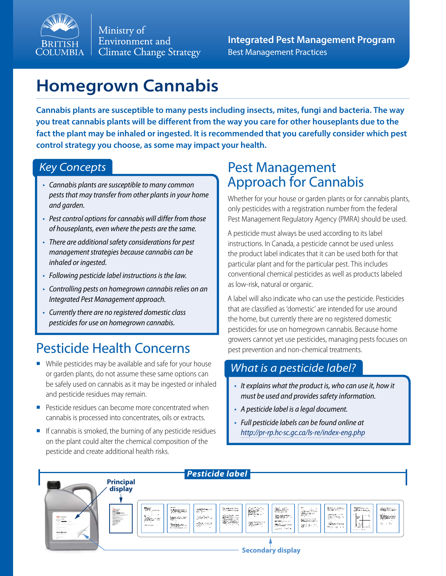

Ministry of Environment and **Climate Change Strategy** 

**Integrated Pest Management Program** Best Management Practices

# **Homegrown Cannabis**

**Cannabis plants are susceptible to many pests including insects, mites, fungi and bacteria. The way you treat cannabis plants will be different from the way you care for other houseplants due to the fact the plant may be inhaled or ingested. It is recommended that you carefully consider which pest control strategy you choose, as some may impact your health.**

#### *Key Concepts*

- *• Cannabis plants are susceptible to many common pests that may transfer from other plants in your home and garden.*
- *• Pest control options for cannabis will differ from those of houseplants, even where the pests are the same.*
- *• There are additional safety considerations for pest management strategies because cannabis can be inhaled or ingested.*
- *• Following pesticide label instructions is the law.*
- *• Controlling pests on homegrown cannabis relies on an Integrated Pest Management approach.*
- *• Currently there are no registered domestic class pesticides for use on homegrown cannabis.*

# Pesticide Health Concerns

- While pesticides may be available and safe for your house or garden plants, do not assume these same options can be safely used on cannabis as it may be ingested or inhaled and pesticide residues may remain.
- **•** Pesticide residues can become more concentrated when cannabis is processed into concentrates, oils or extracts.
- $\blacksquare$  If cannabis is smoked, the burning of any pesticide residues on the plant could alter the chemical composition of the pesticide and create additional health risks.

### Pest Management Approach for Cannabis

Whether for your house or garden plants or for cannabis plants, only pesticides with a registration number from the federal Pest Management Regulatory Agency (PMRA) should be used.

A pesticide must always be used according to its label instructions. In Canada, a pesticide cannot be used unless the product label indicates that it can be used both for that particular plant and for the particular pest. This includes conventional chemical pesticides as well as products labeled as low-risk, natural or organic.

A label will also indicate who can use the pesticide. Pesticides that are classified as 'domestic' are intended for use around the home, but currently there are no registered domestic pesticides for use on homegrown cannabis. Because home growers cannot yet use pesticides, managing pests focuses on pest prevention and non-chemical treatments.

#### *What is a pesticide label?*

- *• It explains what the product is, who can use it, how it must be used and provides safety information.*
- *• A pesticide label is a legal document.*
- *• Full pesticide labels can be found online at <http://pr-rp.hc-sc.gc.ca/ls-re/index-eng.php>*